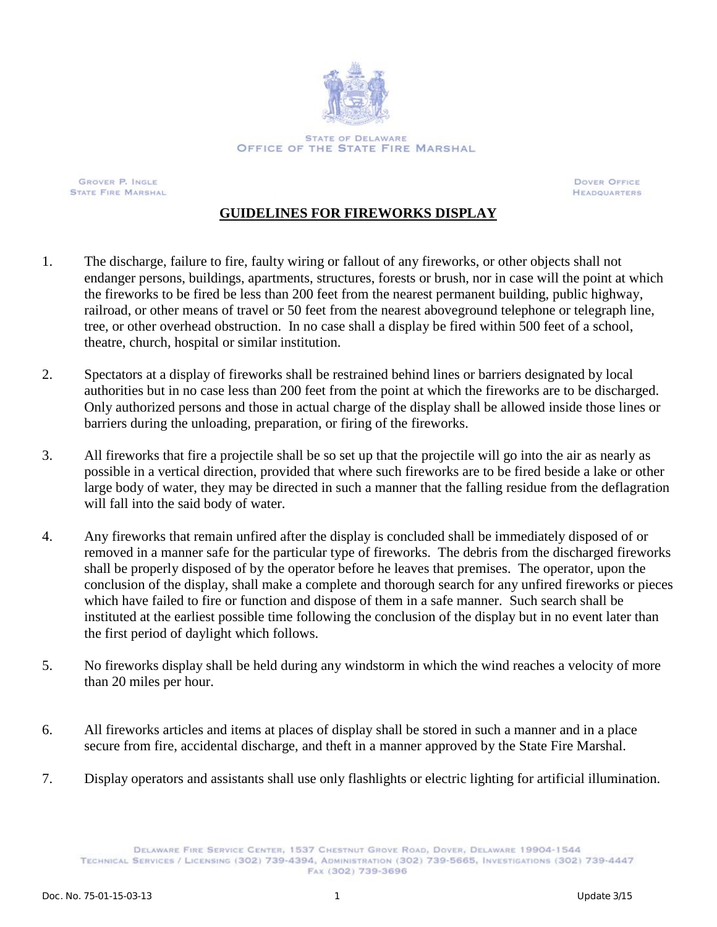

**GROVER P. INGLE** STATE FIRE MARSHAL

**DOVER OFFICE HEADQUARTERS** 

## **GUIDELINES FOR FIREWORKS DISPLAY**

- 1. The discharge, failure to fire, faulty wiring or fallout of any fireworks, or other objects shall not endanger persons, buildings, apartments, structures, forests or brush, nor in case will the point at which the fireworks to be fired be less than 200 feet from the nearest permanent building, public highway, railroad, or other means of travel or 50 feet from the nearest aboveground telephone or telegraph line, tree, or other overhead obstruction. In no case shall a display be fired within 500 feet of a school, theatre, church, hospital or similar institution.
- 2. Spectators at a display of fireworks shall be restrained behind lines or barriers designated by local authorities but in no case less than 200 feet from the point at which the fireworks are to be discharged. Only authorized persons and those in actual charge of the display shall be allowed inside those lines or barriers during the unloading, preparation, or firing of the fireworks.
- 3. All fireworks that fire a projectile shall be so set up that the projectile will go into the air as nearly as possible in a vertical direction, provided that where such fireworks are to be fired beside a lake or other large body of water, they may be directed in such a manner that the falling residue from the deflagration will fall into the said body of water.
- 4. Any fireworks that remain unfired after the display is concluded shall be immediately disposed of or removed in a manner safe for the particular type of fireworks. The debris from the discharged fireworks shall be properly disposed of by the operator before he leaves that premises. The operator, upon the conclusion of the display, shall make a complete and thorough search for any unfired fireworks or pieces which have failed to fire or function and dispose of them in a safe manner. Such search shall be instituted at the earliest possible time following the conclusion of the display but in no event later than the first period of daylight which follows.
- 5. No fireworks display shall be held during any windstorm in which the wind reaches a velocity of more than 20 miles per hour.
- 6. All fireworks articles and items at places of display shall be stored in such a manner and in a place secure from fire, accidental discharge, and theft in a manner approved by the State Fire Marshal.
- 7. Display operators and assistants shall use only flashlights or electric lighting for artificial illumination.